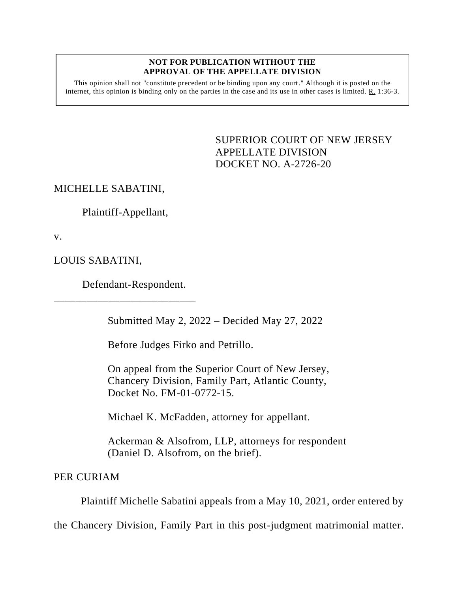## **NOT FOR PUBLICATION WITHOUT THE APPROVAL OF THE APPELLATE DIVISION**

This opinion shall not "constitute precedent or be binding upon any court." Although it is posted on the internet, this opinion is binding only on the parties in the case and its use in other cases is limited. R. 1:36-3.

> <span id="page-0-0"></span>SUPERIOR COURT OF NEW JERSEY APPELLATE DIVISION DOCKET NO. A-2726-20

MICHELLE SABATINI,

Plaintiff-Appellant,

v.

LOUIS SABATINI,

Defendant-Respondent.

\_\_\_\_\_\_\_\_\_\_\_\_\_\_\_\_\_\_\_\_\_\_\_\_\_\_

Submitted May 2, 2022 – Decided May 27, 2022

Before Judges Firko and Petrillo.

On appeal from the Superior Court of New Jersey, Chancery Division, Family Part, Atlantic County, Docket No. FM-01-0772-15.

Michael K. McFadden, attorney for appellant.

Ackerman & Alsofrom, LLP, attorneys for respondent (Daniel D. Alsofrom, on the brief).

PER CURIAM

Plaintiff Michelle Sabatini appeals from a May 10, 2021, order entered by

the Chancery Division, Family Part in this post-judgment matrimonial matter.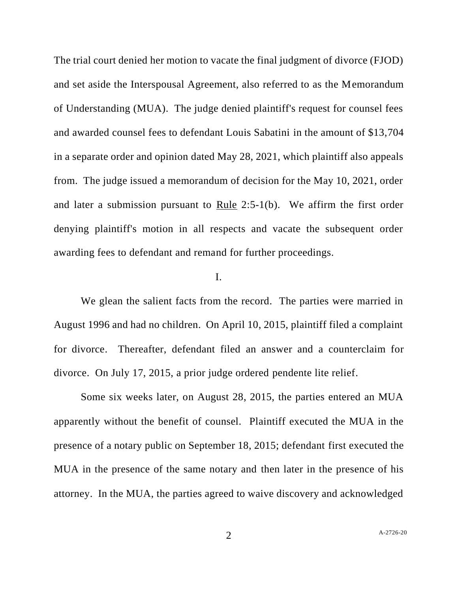The trial court denied her motion to vacate the final judgment of divorce (FJOD) and set aside the Interspousal Agreement, also referred to as the Memorandum of Understanding (MUA). The judge denied plaintiff's request for counsel fees and awarded counsel fees to defendant Louis Sabatini in the amount of \$13,704 in a separate order and opinion dated May 28, 2021, which plaintiff also appeals from. The judge issued a memorandum of decision for the May 10, 2021, order and later a submission pursuant to Rule 2:5-1(b). We affirm the first order denying plaintiff's motion in all respects and vacate the subsequent order awarding fees to defendant and remand for further proceedings.

## I.

We glean the salient facts from the record. The parties were married in August 1996 and had no children. On April 10, 2015, plaintiff filed a complaint for divorce. Thereafter, defendant filed an answer and a counterclaim for divorce. On July 17, 2015, a prior judge ordered pendente lite relief.

Some six weeks later, on August 28, 2015, the parties entered an MUA apparently without the benefit of counsel. Plaintiff executed the MUA in the presence of a notary public on September 18, 2015; defendant first executed the MUA in the presence of the same notary and then later in the presence of his attorney. In the MUA, the parties agreed to waive discovery and acknowledged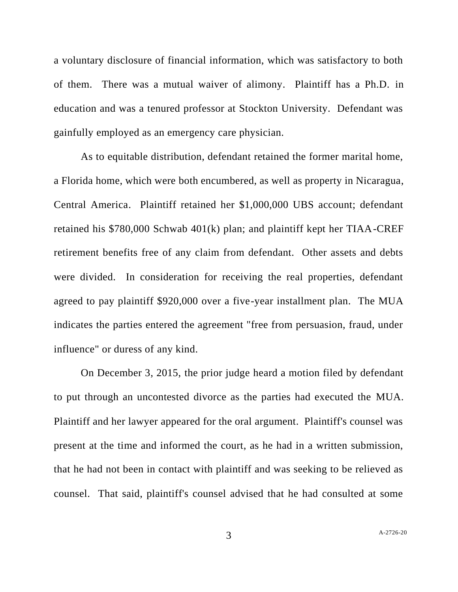a voluntary disclosure of financial information, which was satisfactory to both of them. There was a mutual waiver of alimony. Plaintiff has a Ph.D. in education and was a tenured professor at Stockton University. Defendant was gainfully employed as an emergency care physician.

As to equitable distribution, defendant retained the former marital home, a Florida home, which were both encumbered, as well as property in Nicaragua, Central America. Plaintiff retained her \$1,000,000 UBS account; defendant retained his \$780,000 Schwab 401(k) plan; and plaintiff kept her TIAA-CREF retirement benefits free of any claim from defendant. Other assets and debts were divided. In consideration for receiving the real properties, defendant agreed to pay plaintiff \$920,000 over a five-year installment plan. The MUA indicates the parties entered the agreement "free from persuasion, fraud, under influence" or duress of any kind.

On December 3, 2015, the prior judge heard a motion filed by defendant to put through an uncontested divorce as the parties had executed the MUA. Plaintiff and her lawyer appeared for the oral argument. Plaintiff's counsel was present at the time and informed the court, as he had in a written submission, that he had not been in contact with plaintiff and was seeking to be relieved as counsel. That said, plaintiff's counsel advised that he had consulted at some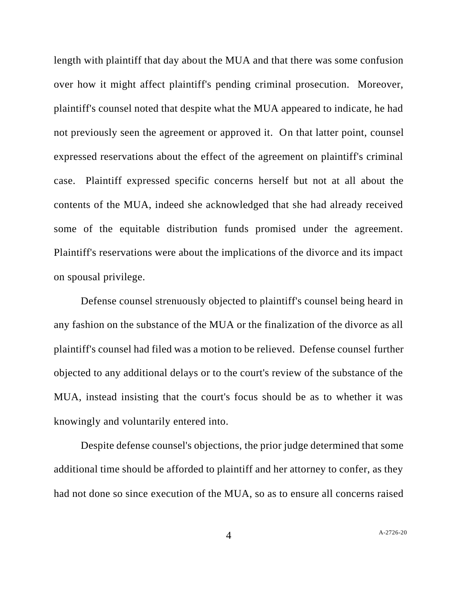length with plaintiff that day about the MUA and that there was some confusion over how it might affect plaintiff's pending criminal prosecution. Moreover, plaintiff's counsel noted that despite what the MUA appeared to indicate, he had not previously seen the agreement or approved it. On that latter point, counsel expressed reservations about the effect of the agreement on plaintiff's criminal case. Plaintiff expressed specific concerns herself but not at all about the contents of the MUA, indeed she acknowledged that she had already received some of the equitable distribution funds promised under the agreement. Plaintiff's reservations were about the implications of the divorce and its impact on spousal privilege.

Defense counsel strenuously objected to plaintiff's counsel being heard in any fashion on the substance of the MUA or the finalization of the divorce as all plaintiff's counsel had filed was a motion to be relieved. Defense counsel further objected to any additional delays or to the court's review of the substance of the MUA, instead insisting that the court's focus should be as to whether it was knowingly and voluntarily entered into.

Despite defense counsel's objections, the prior judge determined that some additional time should be afforded to plaintiff and her attorney to confer, as they had not done so since execution of the MUA, so as to ensure all concerns raised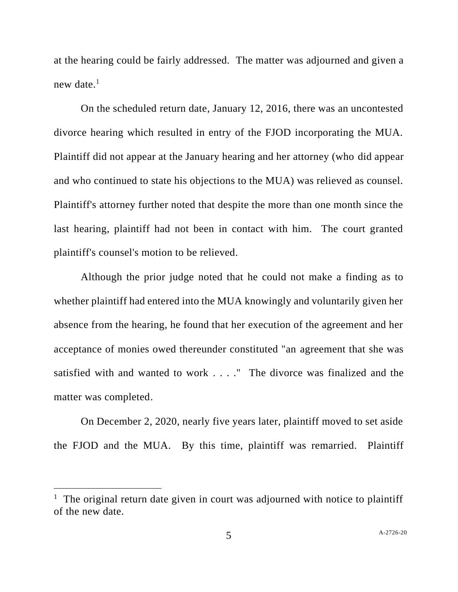at the hearing could be fairly addressed. The matter was adjourned and given a new date. $<sup>1</sup>$ </sup>

On the scheduled return date, January 12, 2016, there was an uncontested divorce hearing which resulted in entry of the FJOD incorporating the MUA. Plaintiff did not appear at the January hearing and her attorney (who did appear and who continued to state his objections to the MUA) was relieved as counsel. Plaintiff's attorney further noted that despite the more than one month since the last hearing, plaintiff had not been in contact with him. The court granted plaintiff's counsel's motion to be relieved.

Although the prior judge noted that he could not make a finding as to whether plaintiff had entered into the MUA knowingly and voluntarily given her absence from the hearing, he found that her execution of the agreement and her acceptance of monies owed thereunder constituted "an agreement that she was satisfied with and wanted to work . . . ." The divorce was finalized and the matter was completed.

On December 2, 2020, nearly five years later, plaintiff moved to set aside the FJOD and the MUA. By this time, plaintiff was remarried. Plaintiff

<sup>&</sup>lt;sup>1</sup> The original return date given in court was adjourned with notice to plaintiff of the new date.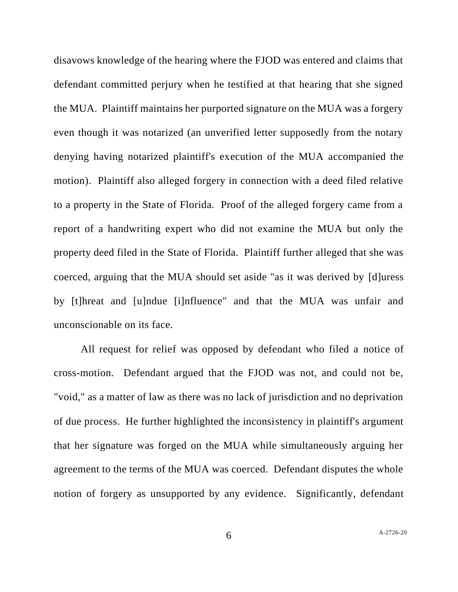disavows knowledge of the hearing where the FJOD was entered and claims that defendant committed perjury when he testified at that hearing that she signed the MUA. Plaintiff maintains her purported signature on the MUA was a forgery even though it was notarized (an unverified letter supposedly from the notary denying having notarized plaintiff's execution of the MUA accompanied the motion). Plaintiff also alleged forgery in connection with a deed filed relative to a property in the State of Florida. Proof of the alleged forgery came from a report of a handwriting expert who did not examine the MUA but only the property deed filed in the State of Florida. Plaintiff further alleged that she was coerced, arguing that the MUA should set aside "as it was derived by [d]uress by [t]hreat and [u]ndue [i]nfluence" and that the MUA was unfair and unconscionable on its face.

All request for relief was opposed by defendant who filed a notice of cross-motion. Defendant argued that the FJOD was not, and could not be, "void," as a matter of law as there was no lack of jurisdiction and no deprivation of due process. He further highlighted the inconsistency in plaintiff's argument that her signature was forged on the MUA while simultaneously arguing her agreement to the terms of the MUA was coerced. Defendant disputes the whole notion of forgery as unsupported by any evidence. Significantly, defendant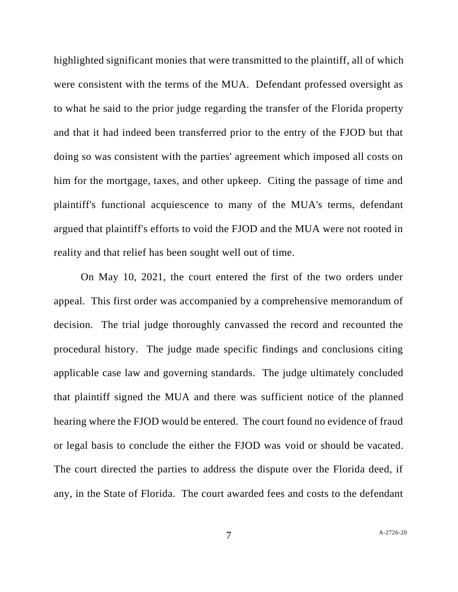highlighted significant monies that were transmitted to the plaintiff, all of which were consistent with the terms of the MUA. Defendant professed oversight as to what he said to the prior judge regarding the transfer of the Florida property and that it had indeed been transferred prior to the entry of the FJOD but that doing so was consistent with the parties' agreement which imposed all costs on him for the mortgage, taxes, and other upkeep. Citing the passage of time and plaintiff's functional acquiescence to many of the MUA's terms, defendant argued that plaintiff's efforts to void the FJOD and the MUA were not rooted in reality and that relief has been sought well out of time.

On May 10, 2021, the court entered the first of the two orders under appeal. This first order was accompanied by a comprehensive memorandum of decision. The trial judge thoroughly canvassed the record and recounted the procedural history. The judge made specific findings and conclusions citing applicable case law and governing standards. The judge ultimately concluded that plaintiff signed the MUA and there was sufficient notice of the planned hearing where the FJOD would be entered. The court found no evidence of fraud or legal basis to conclude the either the FJOD was void or should be vacated. The court directed the parties to address the dispute over the Florida deed, if any, in the State of Florida. The court awarded fees and costs to the defendant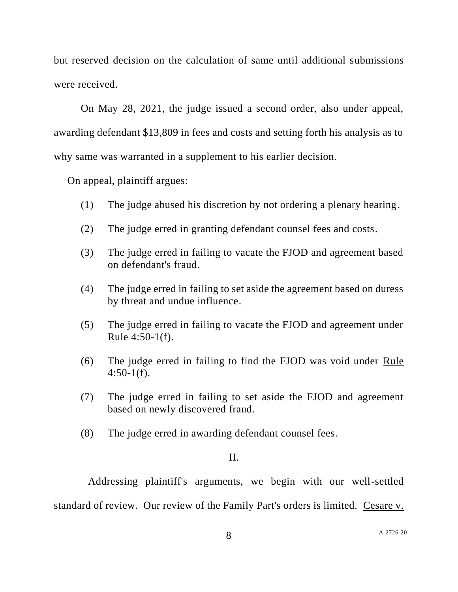but reserved decision on the calculation of same until additional submissions were received.

On May 28, 2021, the judge issued a second order, also under appeal, awarding defendant \$13,809 in fees and costs and setting forth his analysis as to why same was warranted in a supplement to his earlier decision.

On appeal, plaintiff argues:

- (1) The judge abused his discretion by not ordering a plenary hearing.
- (2) The judge erred in granting defendant counsel fees and costs.
- (3) The judge erred in failing to vacate the FJOD and agreement based on defendant's fraud.
- (4) The judge erred in failing to set aside the agreement based on duress by threat and undue influence.
- (5) The judge erred in failing to vacate the FJOD and agreement under Rule 4:50-1(f).
- (6) The judge erred in failing to find the FJOD was void under Rule 4:50-1(f).
- (7) The judge erred in failing to set aside the FJOD and agreement based on newly discovered fraud.
- (8) The judge erred in awarding defendant counsel fees.

## II.

Addressing plaintiff's arguments, we begin with our well-settled standard of review. Our review of the Family Part's orders is limited. Cesare v.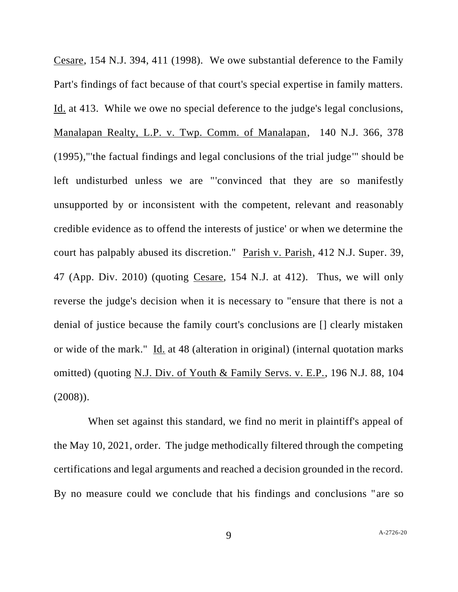Cesare, 154 N.J. 394, 411 (1998). We owe substantial deference to the Family Part's findings of fact because of that court's special expertise in family matters. Id. at 413. While we owe no special deference to the judge's legal conclusions, Manalapan Realty, L.P. v. Twp. Comm. of Manalapan, 140 N.J. 366, 378 (1995),"'the factual findings and legal conclusions of the trial judge'" should be left undisturbed unless we are "'convinced that they are so manifestly unsupported by or inconsistent with the competent, relevant and reasonably credible evidence as to offend the interests of justice' or when we determine the court has palpably abused its discretion." Parish v. Parish, 412 N.J. Super. 39, 47 (App. Div. 2010) (quoting Cesare, 154 N.J. at 412). Thus, we will only reverse the judge's decision when it is necessary to "ensure that there is not a denial of justice because the family court's conclusions are [] clearly mistaken or wide of the mark." Id. at 48 (alteration in original) (internal quotation marks omitted) (quoting N.J. Div. of Youth & Family Servs. v. E.P., 196 N.J. 88, 104 (2008)).

When set against this standard, we find no merit in plaintiff's appeal of the May 10, 2021, order. The judge methodically filtered through the competing certifications and legal arguments and reached a decision grounded in the record. By no measure could we conclude that his findings and conclusions "are so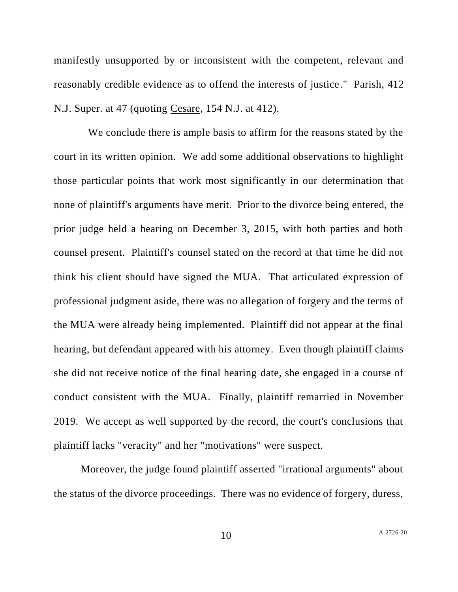manifestly unsupported by or inconsistent with the competent, relevant and reasonably credible evidence as to offend the interests of justice." Parish, 412 N.J. Super. at 47 (quoting Cesare, 154 N.J. at 412).

We conclude there is ample basis to affirm for the reasons stated by the court in its written opinion. We add some additional observations to highlight those particular points that work most significantly in our determination that none of plaintiff's arguments have merit. Prior to the divorce being entered, the prior judge held a hearing on December 3, 2015, with both parties and both counsel present. Plaintiff's counsel stated on the record at that time he did not think his client should have signed the MUA. That articulated expression of professional judgment aside, there was no allegation of forgery and the terms of the MUA were already being implemented. Plaintiff did not appear at the final hearing, but defendant appeared with his attorney. Even though plaintiff claims she did not receive notice of the final hearing date, she engaged in a course of conduct consistent with the MUA. Finally, plaintiff remarried in November 2019. We accept as well supported by the record, the court's conclusions that plaintiff lacks "veracity" and her "motivations" were suspect.

Moreover, the judge found plaintiff asserted "irrational arguments" about the status of the divorce proceedings. There was no evidence of forgery, duress,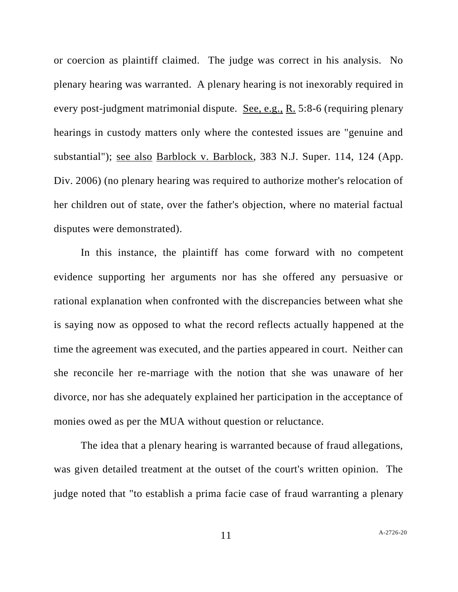or coercion as plaintiff claimed. The judge was correct in his analysis. No plenary hearing was warranted. A plenary hearing is not inexorably required in every post-judgment matrimonial dispute. See, e.g., R. 5:8-6 (requiring plenary hearings in custody matters only where the contested issues are "genuine and substantial"); see also Barblock v. Barblock, 383 N.J. Super. 114, 124 (App. Div. 2006) (no plenary hearing was required to authorize mother's relocation of her children out of state, over the father's objection, where no material factual disputes were demonstrated).

In this instance, the plaintiff has come forward with no competent evidence supporting her arguments nor has she offered any persuasive or rational explanation when confronted with the discrepancies between what she is saying now as opposed to what the record reflects actually happened at the time the agreement was executed, and the parties appeared in court. Neither can she reconcile her re-marriage with the notion that she was unaware of her divorce, nor has she adequately explained her participation in the acceptance of monies owed as per the MUA without question or reluctance.

The idea that a plenary hearing is warranted because of fraud allegations, was given detailed treatment at the outset of the court's written opinion. The judge noted that "to establish a prima facie case of fraud warranting a plenary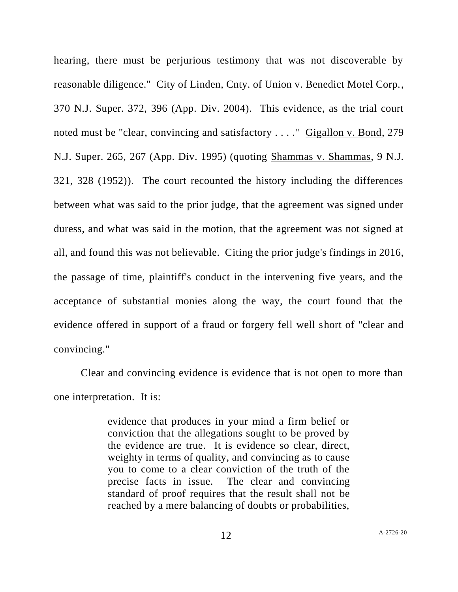hearing, there must be perjurious testimony that was not discoverable by reasonable diligence." City of Linden, Cnty. of Union v. Benedict Motel Corp., 370 N.J. Super. 372, 396 (App. Div. 2004). This evidence, as the trial court noted must be "clear, convincing and satisfactory . . . ." Gigallon v. Bond, 279 N.J. Super. 265, 267 (App. Div. 1995) (quoting Shammas v. Shammas, 9 N.J. 321, 328 (1952)). The court recounted the history including the differences between what was said to the prior judge, that the agreement was signed under duress, and what was said in the motion, that the agreement was not signed at all, and found this was not believable. Citing the prior judge's findings in 2016, the passage of time, plaintiff's conduct in the intervening five years, and the acceptance of substantial monies along the way, the court found that the evidence offered in support of a fraud or forgery fell well short of "clear and convincing."

Clear and convincing evidence is evidence that is not open to more than one interpretation. It is:

> evidence that produces in your mind a firm belief or conviction that the allegations sought to be proved by the evidence are true. It is evidence so clear, direct, weighty in terms of quality, and convincing as to cause you to come to a clear conviction of the truth of the precise facts in issue. The clear and convincing standard of proof requires that the result shall not be reached by a mere balancing of doubts or probabilities,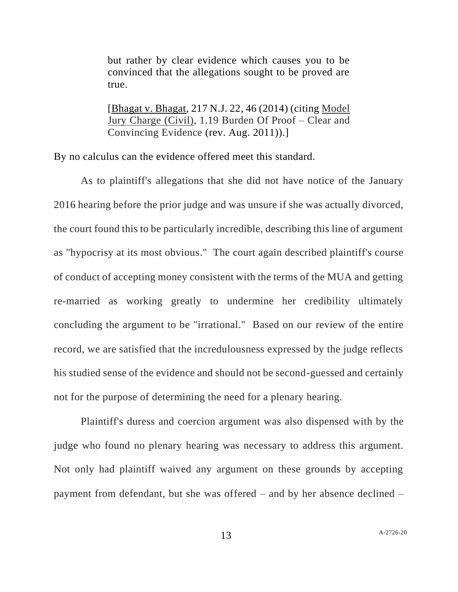but rather by clear evidence which causes you to be convinced that the allegations sought to be proved are true.

[Bhagat v. Bhagat, 217 N.J. 22, 46 (2014) (citing Model Jury Charge (Civil), 1.19 Burden Of Proof – Clear and Convincing Evidence (rev. Aug. 2011)).]

By no calculus can the evidence offered meet this standard.

As to plaintiff's allegations that she did not have notice of the January 2016 hearing before the prior judge and was unsure if she was actually divorced, the court found this to be particularly incredible, describing this line of argument as "hypocrisy at its most obvious." The court again described plaintiff's course of conduct of accepting money consistent with the terms of the MUA and getting re-married as working greatly to undermine her credibility ultimately concluding the argument to be "irrational." Based on our review of the entire record, we are satisfied that the incredulousness expressed by the judge reflects his studied sense of the evidence and should not be second-guessed and certainly not for the purpose of determining the need for a plenary hearing.

Plaintiff's duress and coercion argument was also dispensed with by the judge who found no plenary hearing was necessary to address this argument. Not only had plaintiff waived any argument on these grounds by accepting payment from defendant, but she was offered – and by her absence declined –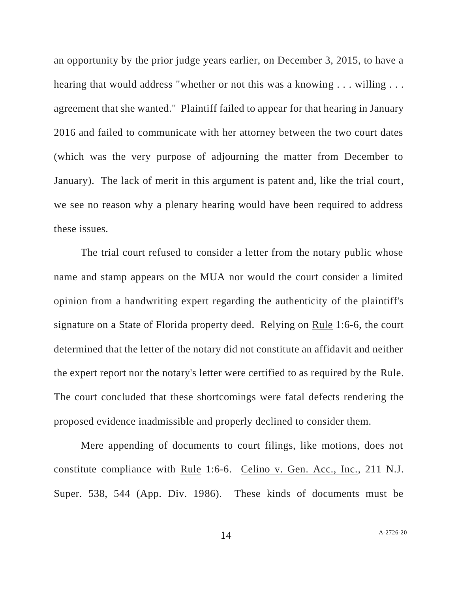an opportunity by the prior judge years earlier, on December 3, 2015, to have a hearing that would address "whether or not this was a knowing . . . willing . . . agreement that she wanted." Plaintiff failed to appear for that hearing in January 2016 and failed to communicate with her attorney between the two court dates (which was the very purpose of adjourning the matter from December to January). The lack of merit in this argument is patent and, like the trial court, we see no reason why a plenary hearing would have been required to address these issues.

The trial court refused to consider a letter from the notary public whose name and stamp appears on the MUA nor would the court consider a limited opinion from a handwriting expert regarding the authenticity of the plaintiff's signature on a State of Florida property deed. Relying on Rule 1:6-6, the court determined that the letter of the notary did not constitute an affidavit and neither the expert report nor the notary's letter were certified to as required by the Rule. The court concluded that these shortcomings were fatal defects rendering the proposed evidence inadmissible and properly declined to consider them.

Mere appending of documents to court filings, like motions, does not constitute compliance with Rule 1:6-6. Celino v. Gen. Acc., Inc., 211 N.J. Super. 538, 544 (App. Div. 1986). These kinds of documents must be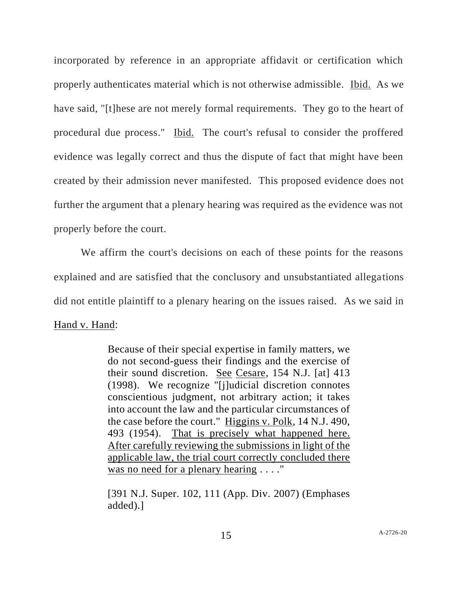incorporated by reference in an appropriate affidavit or certification which properly authenticates material which is not otherwise admissible. Ibid. As we have said, "[t]hese are not merely formal requirements. They go to the heart of procedural due process." Ibid. The court's refusal to consider the proffered evidence was legally correct and thus the dispute of fact that might have been created by their admission never manifested. This proposed evidence does not further the argument that a plenary hearing was required as the evidence was not properly before the court.

We affirm the court's decisions on each of these points for the reasons explained and are satisfied that the conclusory and unsubstantiated allegations did not entitle plaintiff to a plenary hearing on the issues raised. As we said in Hand v. Hand:

> Because of their special expertise in family matters, we do not second-guess their findings and the exercise of their sound discretion. See Cesare, 154 N.J. [at] 413 (1998). We recognize "[j]udicial discretion connotes conscientious judgment, not arbitrary action; it takes into account the law and the particular circumstances of the case before the court." Higgins v. Polk, 14 N.J. 490, 493 (1954). That is precisely what happened here. After carefully reviewing the submissions in light of the applicable law, the trial court correctly concluded there was no need for a plenary hearing . . . ."

> [391 N.J. Super. 102, 111 (App. Div. 2007) (Emphases added).]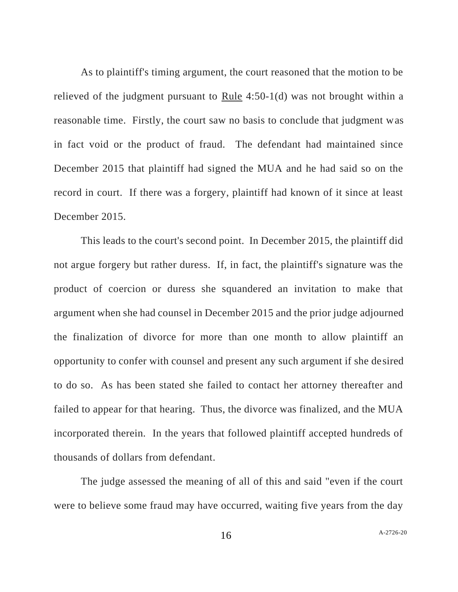As to plaintiff's timing argument, the court reasoned that the motion to be relieved of the judgment pursuant to Rule 4:50-1(d) was not brought within a reasonable time. Firstly, the court saw no basis to conclude that judgment was in fact void or the product of fraud. The defendant had maintained since December 2015 that plaintiff had signed the MUA and he had said so on the record in court. If there was a forgery, plaintiff had known of it since at least December 2015.

This leads to the court's second point. In December 2015, the plaintiff did not argue forgery but rather duress. If, in fact, the plaintiff's signature was the product of coercion or duress she squandered an invitation to make that argument when she had counsel in December 2015 and the prior judge adjourned the finalization of divorce for more than one month to allow plaintiff an opportunity to confer with counsel and present any such argument if she desired to do so. As has been stated she failed to contact her attorney thereafter and failed to appear for that hearing. Thus, the divorce was finalized, and the MUA incorporated therein. In the years that followed plaintiff accepted hundreds of thousands of dollars from defendant.

The judge assessed the meaning of all of this and said "even if the court were to believe some fraud may have occurred, waiting five years from the day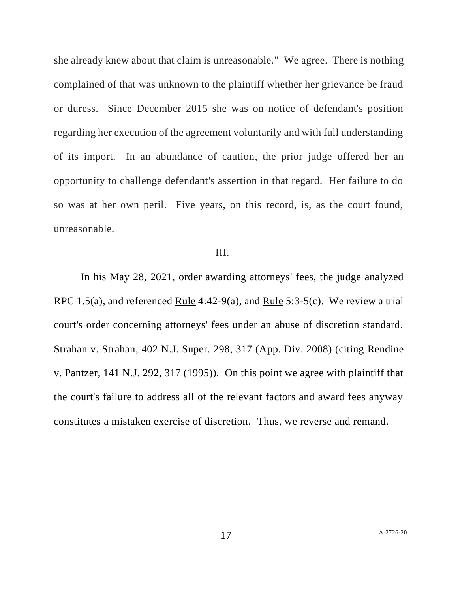she already knew about that claim is unreasonable." We agree. There is nothing complained of that was unknown to the plaintiff whether her grievance be fraud or duress. Since December 2015 she was on notice of defendant's position regarding her execution of the agreement voluntarily and with full understanding of its import. In an abundance of caution, the prior judge offered her an opportunity to challenge defendant's assertion in that regard. Her failure to do so was at her own peril. Five years, on this record, is, as the court found, unreasonable.

## III.

In his May 28, 2021, order awarding attorneys' fees, the judge analyzed RPC 1.5(a), and referenced Rule 4:42-9(a), and Rule 5:3-5(c). We review a trial court's order concerning attorneys' fees under an abuse of discretion standard. Strahan v. Strahan, 402 N.J. Super. 298, 317 (App. Div. 2008) (citing Rendine v. Pantzer, 141 N.J. 292, 317 (1995)). On this point we agree with plaintiff that the court's failure to address all of the relevant factors and award fees anyway constitutes a mistaken exercise of discretion. Thus, we reverse and remand.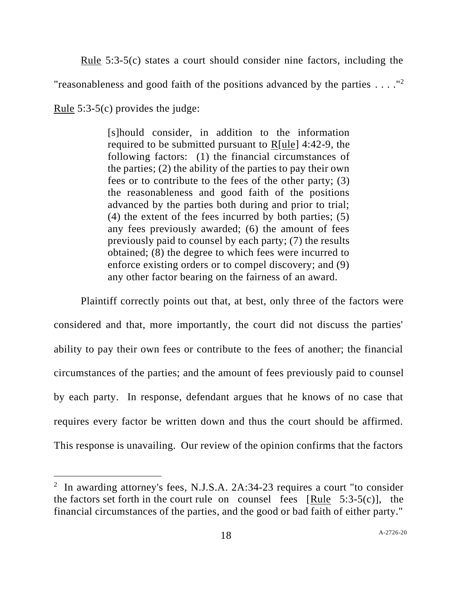Rule 5:3-5(c) states a court should consider nine factors, including the "reasonableness and good faith of the positions advanced by the parties  $\dots$ ."<sup>2</sup>

Rule 5:3-5(c) provides the judge:

[s]hould consider, in addition to the information required to be submitted pursuant to R[ule] 4:42-9, the following factors: (1) the financial circumstances of the parties; (2) the ability of the parties to pay their own fees or to contribute to the fees of the other party; (3) the reasonableness and good faith of the positions advanced by the parties both during and prior to trial; (4) the extent of the fees incurred by both parties; (5) any fees previously awarded; (6) the amount of fees previously paid to counsel by each party; (7) the results obtained; (8) the degree to which fees were incurred to enforce existing orders or to compel discovery; and (9) any other factor bearing on the fairness of an award.

Plaintiff correctly points out that, at best, only three of the factors were considered and that, more importantly, the court did not discuss the parties' ability to pay their own fees or contribute to the fees of another; the financial circumstances of the parties; and the amount of fees previously paid to counsel by each party. In response, defendant argues that he knows of no case that requires every factor be written down and thus the court should be affirmed. This response is unavailing. Our review of the opinion confirms that the factors

<sup>&</sup>lt;sup>2</sup> In awarding attorney's fees, N.J.S.A. 2A:34-23 requires a court "to consider the factors set forth in the court rule on counsel fees [Rule  $5:3-5(c)$ ], the financial circumstances of the parties, and the good or bad faith of either party."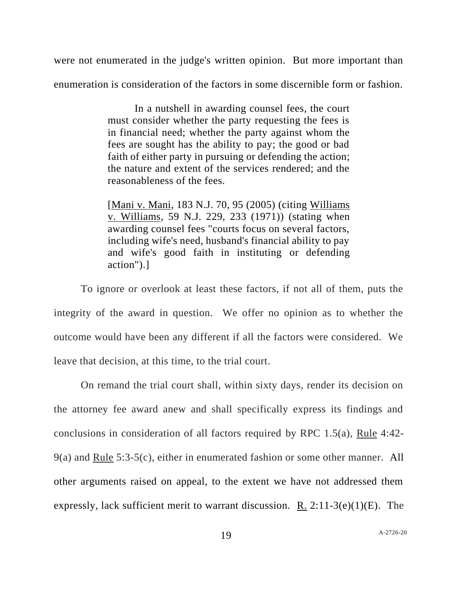were not enumerated in the judge's written opinion. But more important than enumeration is consideration of the factors in some discernible form or fashion.

> In a nutshell in awarding counsel fees, the court must consider whether the party requesting the fees is in financial need; whether the party against whom the fees are sought has the ability to pay; the good or bad faith of either party in pursuing or defending the action; the nature and extent of the services rendered; and the reasonableness of the fees.

> [Mani v. Mani, 183 N.J. 70, 95 (2005) (citing Williams v. Williams, 59 N.J. 229, 233 (1971)) (stating when awarding counsel fees "courts focus on several factors, including wife's need, husband's financial ability to pay and wife's good faith in instituting or defending action").]

To ignore or overlook at least these factors, if not all of them, puts the integrity of the award in question. We offer no opinion as to whether the outcome would have been any different if all the factors were considered. We leave that decision, at this time, to the trial court.

On remand the trial court shall, within sixty days, render its decision on the attorney fee award anew and shall specifically express its findings and conclusions in consideration of all factors required by RPC 1.5(a), Rule 4:42- 9(a) and Rule 5:3-5(c), either in enumerated fashion or some other manner. All other arguments raised on appeal, to the extent we have not addressed them expressly, lack sufficient merit to warrant discussion. R.  $2:11-3(e)(1)(E)$ . The